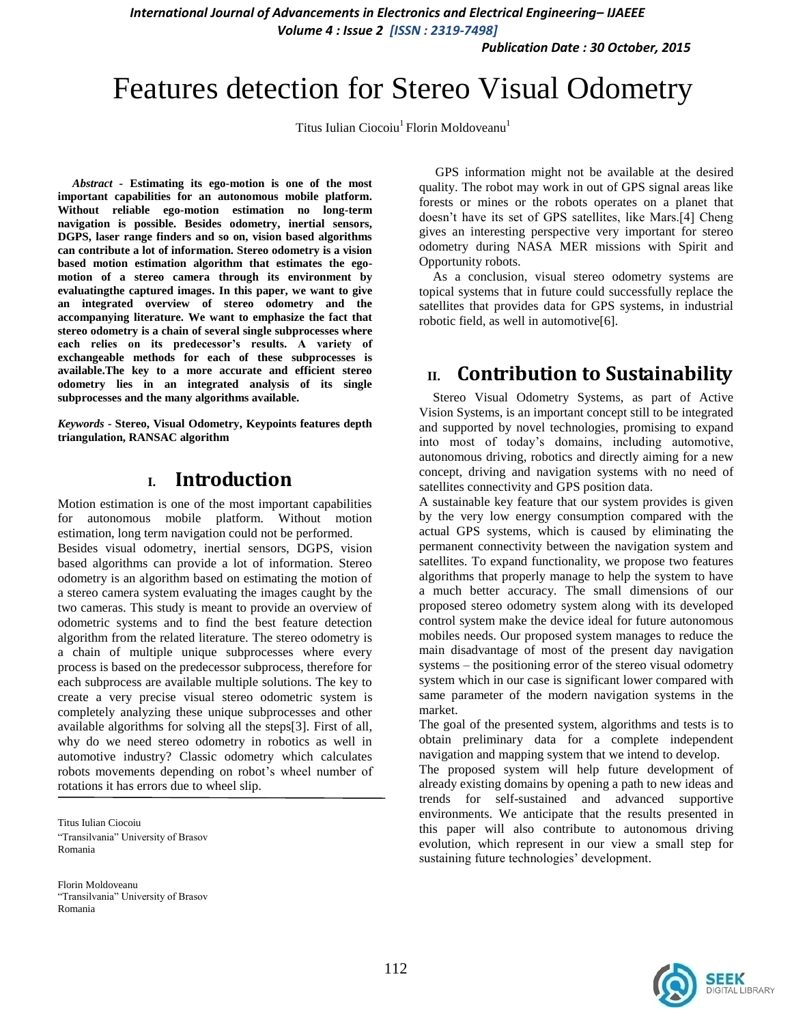*International Journal of Advancements in Electronics and Electrical Engineering– IJAEEE*

*Volume 4 : Issue 2 [ISSN : 2319-7498]* 

*Publication Date : 30 October, 2015*

# Features detection for Stereo Visual Odometry

Titus Iulian Ciocoiu<sup>1</sup> Florin Moldoveanu<sup>1</sup>

*Abstract -* **Estimating its ego-motion is one of the most important capabilities for an autonomous mobile platform. Without reliable ego-motion estimation no long-term navigation is possible. Besides odometry, inertial sensors, DGPS, laser range finders and so on, vision based algorithms can contribute a lot of information. Stereo odometry is a vision based motion estimation algorithm that estimates the egomotion of a stereo camera through its environment by evaluatingthe captured images. In this paper, we want to give an integrated overview of stereo odometry and the accompanying literature. We want to emphasize the fact that stereo odometry is a chain of several single subprocesses where each relies on its predecessor's results. A variety of exchangeable methods for each of these subprocesses is available.The key to a more accurate and efficient stereo odometry lies in an integrated analysis of its single subprocesses and the many algorithms available.**

*Keywords -* **Stereo, Visual Odometry, Keypoints features depth triangulation, RANSAC algorithm**

#### **I. Introduction**

Motion estimation is one of the most important capabilities for autonomous mobile platform. Without motion estimation, long term navigation could not be performed. Besides visual odometry, inertial sensors, DGPS, vision based algorithms can provide a lot of information. Stereo odometry is an algorithm based on estimating the motion of a stereo camera system evaluating the images caught by the two cameras. This study is meant to provide an overview of odometric systems and to find the best feature detection algorithm from the related literature. The stereo odometry is a chain of multiple unique subprocesses where every process is based on the predecessor subprocess, therefore for each subprocess are available multiple solutions. The key to create a very precise visual stereo odometric system is completely analyzing these unique subprocesses and other available algorithms for solving all the steps[3]. First of all,

why do we need stereo odometry in robotics as well in automotive industry? Classic odometry which calculates robots movements depending on robot's wheel number of rotations it has errors due to wheel slip.

Titus Iulian Ciocoiu "Transilvania" University of Brasov Romania

Florin Moldoveanu "Transilvania" University of Brasov Romania

 GPS information might not be available at the desired quality. The robot may work in out of GPS signal areas like forests or mines or the robots operates on a planet that doesn't have its set of GPS satellites, like Mars.[4] Cheng gives an interesting perspective very important for stereo odometry during NASA MER missions with Spirit and Opportunity robots.

As a conclusion, visual stereo odometry systems are topical systems that in future could successfully replace the satellites that provides data for GPS systems, in industrial robotic field, as well in automotive[6].

## **II. Contribution to Sustainability**

Stereo Visual Odometry Systems, as part of Active Vision Systems, is an important concept still to be integrated and supported by novel technologies, promising to expand into most of today's domains, including automotive, autonomous driving, robotics and directly aiming for a new concept, driving and navigation systems with no need of satellites connectivity and GPS position data.

A sustainable key feature that our system provides is given by the very low energy consumption compared with the actual GPS systems, which is caused by eliminating the permanent connectivity between the navigation system and satellites. To expand functionality, we propose two features algorithms that properly manage to help the system to have a much better accuracy. The small dimensions of our proposed stereo odometry system along with its developed control system make the device ideal for future autonomous mobiles needs. Our proposed system manages to reduce the main disadvantage of most of the present day navigation systems – the positioning error of the stereo visual odometry system which in our case is significant lower compared with same parameter of the modern navigation systems in the market.

The goal of the presented system, algorithms and tests is to obtain preliminary data for a complete independent navigation and mapping system that we intend to develop.

The proposed system will help future development of already existing domains by opening a path to new ideas and trends for self-sustained and advanced supportive environments. We anticipate that the results presented in this paper will also contribute to autonomous driving evolution, which represent in our view a small step for sustaining future technologies' development.

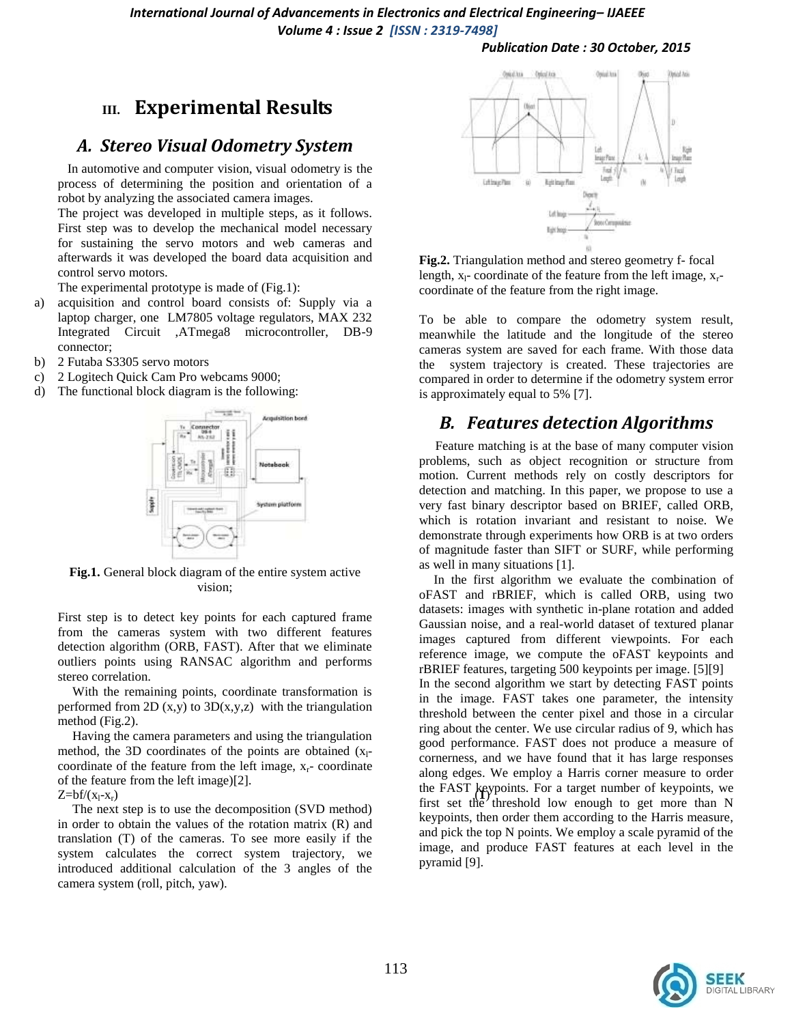### **III. Experimental Results**

#### *A. Stereo Visual Odometry System*

 In automotive and computer vision, visual odometry is the process of determining the position and orientation of a robot by analyzing the associated camera images.

The project was developed in multiple steps, as it follows. First step was to develop the mechanical model necessary for sustaining the servo motors and web cameras and afterwards it was developed the board data acquisition and control servo motors.

The experimental prototype is made of (Fig.1):

- a) acquisition and control board consists of: Supply via a laptop charger, one LM7805 voltage regulators, MAX 232 Integrated Circuit ,ATmega8 microcontroller, DB-9 connector;
- b) 2 Futaba S3305 servo motors
- c) 2 Logitech Quick Cam Pro webcams 9000;
- d) The functional block diagram is the following:



**Fig.1.** General block diagram of the entire system active vision;

First step is to detect key points for each captured frame from the cameras system with two different features detection algorithm (ORB, FAST). After that we eliminate outliers points using RANSAC algorithm and performs stereo correlation.

With the remaining points, coordinate transformation is performed from 2D  $(x,y)$  to 3D $(x,y,z)$  with the triangulation method (Fig.2).

Having the camera parameters and using the triangulation method, the 3D coordinates of the points are obtained  $(x_1$ coordinate of the feature from the left image,  $x_r$ - coordinate of the feature from the left image)[2].

The next step is to use the decomposition (SVD method) in order to obtain the values of the rotation matrix (R) and translation (T) of the cameras. To see more easily if the system calculates the correct system trajectory, we introduced additional calculation of the 3 angles of the camera system (roll, pitch, yaw).



**Fig.2.** Triangulation method and stereo geometry f- focal length,  $x_1$ - coordinate of the feature from the left image,  $x_r$ coordinate of the feature from the right image.

To be able to compare the odometry system result, meanwhile the latitude and the longitude of the stereo cameras system are saved for each frame. With those data the system trajectory is created. These trajectories are compared in order to determine if the odometry system error is approximately equal to 5% [7].

#### *B. Features detection Algorithms*

 Feature matching is at the base of many computer vision problems, such as object recognition or structure from motion. Current methods rely on costly descriptors for detection and matching. In this paper, we propose to use a very fast binary descriptor based on BRIEF, called ORB, which is rotation invariant and resistant to noise. We demonstrate through experiments how ORB is at two orders of magnitude faster than SIFT or SURF, while performing as well in many situations [1].

 $Z=bf(x_1-x_r)$ <br>  $Z=bf(x_1-x_r)$  ( $X_1-x_r$ ) In the first algorithm we evaluate the combination of oFAST and rBRIEF, which is called ORB, using two datasets: images with synthetic in-plane rotation and added Gaussian noise, and a real-world dataset of textured planar images captured from different viewpoints. For each reference image, we compute the oFAST keypoints and rBRIEF features, targeting 500 keypoints per image. [5][9] In the second algorithm we start by detecting FAST points in the image. FAST takes one parameter, the intensity threshold between the center pixel and those in a circular ring about the center. We use circular radius of 9, which has good performance. FAST does not produce a measure of cornerness, and we have found that it has large responses along edges. We employ a Harris corner measure to order first set the threshold low enough to get more than N keypoints, then order them according to the Harris measure, and pick the top N points. We employ a scale pyramid of the image, and produce FAST features at each level in the pyramid [9].

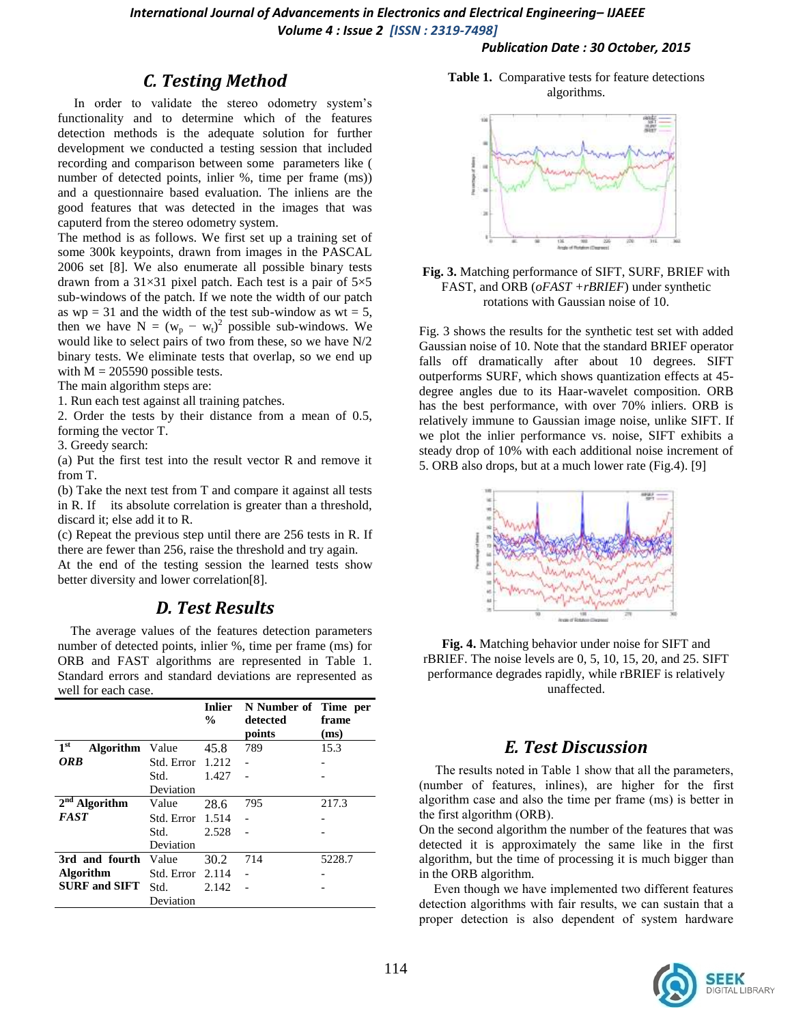*International Journal of Advancements in Electronics and Electrical Engineering– IJAEEE Volume 4 : Issue 2 [ISSN : 2319-7498]* 

#### *Publication Date : 30 October, 2015*

#### *C. Testing Method*

 In order to validate the stereo odometry system's functionality and to determine which of the features detection methods is the adequate solution for further development we conducted a testing session that included recording and comparison between some parameters like ( number of detected points, inlier %, time per frame (ms)) and a questionnaire based evaluation. The inliens are the good features that was detected in the images that was caputerd from the stereo odometry system.

The method is as follows. We first set up a training set of some 300k keypoints, drawn from images in the PASCAL 2006 set [8]. We also enumerate all possible binary tests drawn from a  $31\times31$  pixel patch. Each test is a pair of  $5\times5$ sub-windows of the patch. If we note the width of our patch as  $wp = 31$  and the width of the test sub-window as  $wt = 5$ , then we have  $N = (w_p - w_t)^2$  possible sub-windows. We would like to select pairs of two from these, so we have N/2 binary tests. We eliminate tests that overlap, so we end up with  $M = 205590$  possible tests.

The main algorithm steps are:

1. Run each test against all training patches.

2. Order the tests by their distance from a mean of 0.5, forming the vector T.

3. Greedy search:

(a) Put the first test into the result vector R and remove it from T.

(b) Take the next test from T and compare it against all tests in R. If its absolute correlation is greater than a threshold, discard it; else add it to R.

(c) Repeat the previous step until there are 256 tests in R. If there are fewer than 256, raise the threshold and try again.

At the end of the testing session the learned tests show better diversity and lower correlation[8].

#### *D. Test Results*

 The average values of the features detection parameters number of detected points, inlier %, time per frame (ms) for ORB and FAST algorithms are represented in Table 1. Standard errors and standard deviations are represented as well for each case.

|                                           |            | <b>Inlier</b><br>$\frac{0}{0}$ | N Number of Time per<br>detected<br>points | frame<br>(ms) |
|-------------------------------------------|------------|--------------------------------|--------------------------------------------|---------------|
| 1 <sup>st</sup><br><b>Algorithm</b> Value |            | 45.8                           | 789                                        | 15.3          |
| <b>ORB</b>                                | Std. Error | 1.212                          |                                            |               |
|                                           | Std.       | 1.427                          |                                            |               |
|                                           | Deviation  |                                |                                            |               |
| $2nd$ Algorithm                           | Value      | 28.6                           | 795                                        | 217.3         |
| <b>FAST</b>                               | Std. Error | 1.514                          |                                            |               |
|                                           | Std.       | 2.528                          |                                            |               |
|                                           | Deviation  |                                |                                            |               |
| 3rd and fourth                            | Value      | 30.2                           | 714                                        | 5228.7        |
| <b>Algorithm</b>                          | Std. Error | 2.114                          |                                            |               |
| <b>SURF and SIFT</b>                      | Std.       | 2.142                          |                                            |               |
|                                           | Deviation  |                                |                                            |               |

**Table 1.** Comparative tests for feature detections algorithms.



**Fig. 3.** Matching performance of SIFT, SURF, BRIEF with FAST, and ORB (*oFAST +rBRIEF*) under synthetic rotations with Gaussian noise of 10.

Fig. 3 shows the results for the synthetic test set with added Gaussian noise of 10. Note that the standard BRIEF operator falls off dramatically after about 10 degrees. SIFT outperforms SURF, which shows quantization effects at 45 degree angles due to its Haar-wavelet composition. ORB has the best performance, with over 70% inliers. ORB is relatively immune to Gaussian image noise, unlike SIFT. If we plot the inlier performance vs. noise, SIFT exhibits a steady drop of 10% with each additional noise increment of 5. ORB also drops, but at a much lower rate (Fig.4). [9]



**Fig. 4.** Matching behavior under noise for SIFT and rBRIEF. The noise levels are 0, 5, 10, 15, 20, and 25. SIFT performance degrades rapidly, while rBRIEF is relatively unaffected.

#### *E. Test Discussion*

 The results noted in Table 1 show that all the parameters, (number of features, inlines), are higher for the first algorithm case and also the time per frame (ms) is better in the first algorithm (ORB).

On the second algorithm the number of the features that was detected it is approximately the same like in the first algorithm, but the time of processing it is much bigger than in the ORB algorithm.

Even though we have implemented two different features detection algorithms with fair results, we can sustain that a proper detection is also dependent of system hardware